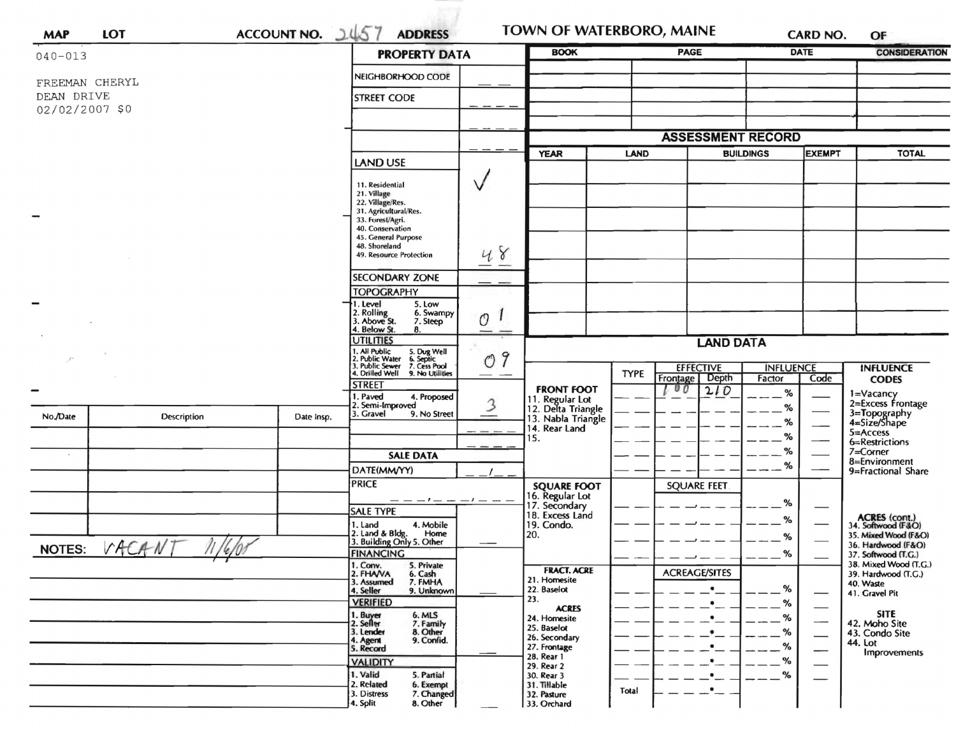| <b>MAP</b>     | <b>LOT</b>        | ACCOUNT NO. 1457   | <b>ADDRESS</b>                                                                            | TOWN OF WATERBORO, MAINE<br><b>BOOK</b> |                                       |             | CARD NO.                        |                            | OF                            |                                              |
|----------------|-------------------|--------------------|-------------------------------------------------------------------------------------------|-----------------------------------------|---------------------------------------|-------------|---------------------------------|----------------------------|-------------------------------|----------------------------------------------|
| $040 - 013$    |                   |                    |                                                                                           | <b>PROPERTY DATA</b>                    |                                       |             | <b>PAGE</b>                     |                            | <b>DATE</b>                   | <b>CONSIDERATION</b>                         |
| FREEMAN CHERYL |                   |                    | NEIGHBORHOOD CODE                                                                         |                                         |                                       |             |                                 |                            |                               |                                              |
| DEAN DRIVE     |                   | <b>STREET CODE</b> |                                                                                           |                                         |                                       |             |                                 |                            |                               |                                              |
| 02/02/2007 \$0 |                   |                    |                                                                                           |                                         |                                       |             |                                 |                            |                               |                                              |
|                |                   |                    |                                                                                           |                                         |                                       |             | <b>ASSESSMENT RECORD</b>        |                            |                               |                                              |
|                |                   |                    |                                                                                           |                                         | <b>YEAR</b>                           |             | <b>LAND</b><br><b>BUILDINGS</b> |                            | <b>EXEMPT</b>                 | <b>TOTAL</b>                                 |
|                |                   |                    | LAND USE                                                                                  |                                         |                                       |             |                                 |                            |                               |                                              |
|                |                   |                    | 11. Residential<br>21. Village                                                            |                                         |                                       |             |                                 |                            |                               |                                              |
|                |                   |                    | 22. Village/Res.<br>31. Agricultural/Res.                                                 |                                         |                                       |             |                                 |                            |                               |                                              |
| -              |                   |                    | 33. Forest/Agri.<br>40. Conservation                                                      |                                         |                                       |             |                                 |                            |                               |                                              |
|                |                   |                    | 45. General Purpose<br>48. Shoreland                                                      |                                         |                                       |             |                                 |                            |                               |                                              |
|                |                   |                    | 49. Resource Protection                                                                   | 48                                      |                                       |             |                                 |                            |                               |                                              |
|                |                   |                    | <b>SECONDARY ZONE</b>                                                                     |                                         |                                       |             |                                 |                            |                               |                                              |
|                |                   |                    | <b>TOPOGRAPHY</b><br>I. Level<br>5. Low                                                   |                                         |                                       |             |                                 |                            |                               |                                              |
|                |                   |                    | 2. Rolling<br>3. Above St.<br>6. Swampy<br>7. Steep                                       | O                                       |                                       |             |                                 |                            |                               |                                              |
|                |                   |                    | 4. Below St.<br>8.<br><b>UTILITIES</b>                                                    |                                         |                                       |             |                                 |                            |                               |                                              |
|                |                   |                    | 5. Dug Well<br>6. Septic<br>7. Cess Pool<br>9                                             |                                         | <b>LAND DATA</b>                      |             |                                 |                            |                               |                                              |
|                |                   |                    | 1. All Public<br>2. Public Water<br>3. Public Sewer<br>4. Drilled Well<br>9. No Utilities | O<br>———                                |                                       | <b>TYPE</b> | <b>EFFECTIVE</b><br>Depth       | <b>INFLUENCE</b><br>Factor | Code                          | <b>INFLUENCE</b>                             |
|                |                   |                    | <b>STREET</b><br>1. Paved<br>4. Proposed                                                  |                                         | <b>FRONT FOOT</b>                     |             | Frontage<br>00<br>210           | $\%$                       |                               | <b>CODES</b><br>1=Vacancy                    |
|                |                   |                    | 2. Semi-Improved<br>3. Gravel<br>9. No Street                                             |                                         | 11. Regular Lot<br>12. Delta Triangle |             |                                 | %                          |                               | 2=Excess Frontage                            |
| No./Date       | Description       | Date Insp.         |                                                                                           |                                         | 13. Nabla Triangle<br>14. Rear Land   |             |                                 | %                          |                               | 3=Topography<br>4=Size/Shape<br>$5 =$ Access |
|                |                   |                    |                                                                                           |                                         | 15.                                   |             |                                 | %<br>%                     |                               | 6=Restrictions<br>7=Corner                   |
|                |                   |                    | <b>SALE DATA</b>                                                                          |                                         |                                       |             |                                 | %                          |                               | 8=Environment                                |
|                |                   |                    | DATE(MM/YY)<br><b>PRICE</b>                                                               |                                         | <b>SQUARE FOOT</b>                    |             | <b>SQUARE FEET</b>              |                            |                               | 9=Fractional Share                           |
|                |                   |                    |                                                                                           |                                         | 16. Regular Lot<br>17. Secondary      |             |                                 | %                          |                               |                                              |
|                |                   |                    | <b>SALE TYPE</b><br>4. Mobile<br>1. Land                                                  |                                         | 18. Excess Land<br>19. Condo.         |             |                                 | %                          |                               | ACRES (cont.)<br>34. Softwood (F&O)          |
|                | 1.1117            |                    | 2. Land & Bldg. Home<br>3. Building Only 5. Other<br>Home                                 |                                         | 20.                                   |             |                                 | %                          |                               | 35. Mixed Wood (F&O)                         |
| <b>NOTES:</b>  | VACANT<br>11/6/00 |                    | <b>FINANCING</b>                                                                          |                                         |                                       |             |                                 | %                          |                               | 36. Hardwood (F&O)<br>37. Softwood (T.G.)    |
|                |                   |                    | 1. Conv.<br>5. Private<br>2. FHAVA<br>6. Cash                                             |                                         | <b>FRACT. ACRE</b><br>21. Homesite    |             | <b>ACREAGE/SITES</b>            |                            |                               | 38. Mixed Wood (T.G.)<br>39. Hardwood (T.G.) |
|                |                   |                    | 7. FMHA<br>3. Assumed<br>4. Seller<br>9. Unknown                                          |                                         | 22. Baselot                           |             | ٠                               | %                          |                               | 40. Waste<br>41. Gravel Pit                  |
|                |                   |                    | <b>VERIFIED</b><br>6. MLS                                                                 |                                         | 23.<br><b>ACRES</b>                   |             |                                 | %                          |                               | <b>SITE</b>                                  |
|                |                   |                    | 1. Buyer<br>2. Seller<br>7. Family<br>8. Other<br>3. Lender                               |                                         | 24. Homesite<br>25. Baselot           |             |                                 | %<br>%                     | —                             | 42. Moho Site<br>43. Condo Site              |
|                |                   |                    | 9. Confid.<br>4. Agent<br>5. Record                                                       |                                         | 26. Secondary<br>27. Frontage         |             |                                 | %                          | $\overline{\phantom{0}}$<br>— | 44. Lot<br>Improvements                      |
|                |                   |                    | <b>VALIDITY</b>                                                                           |                                         | 28. Rear 1<br>29. Rear 2              |             |                                 | %                          |                               |                                              |
|                |                   |                    | 1. Valid<br>5. Partial<br>2. Related<br>6. Exempt                                         |                                         | 30. Rear 3<br>31. Tillable            |             | ٠                               | $\%$                       |                               |                                              |
|                |                   |                    | 3. Distress<br>7. Changed<br>4. Split<br>8. Other                                         |                                         | 32. Pasture<br>33. Orchard            | Total       |                                 |                            |                               |                                              |